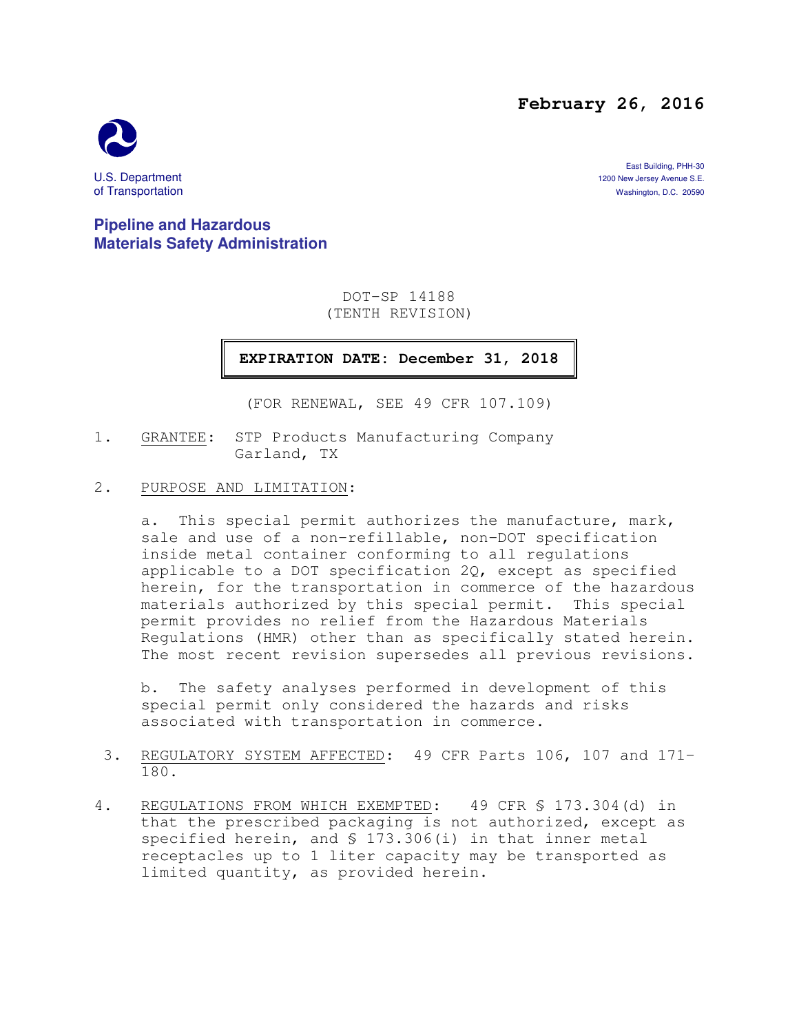### **February 26, 2016**



East Building, PHH-30 U.S. Department 1200 New Jersey Avenue S.E.<br>
1200 New Jersey Avenue S.E.<br>
1200 New Jersey Avenue S.E. 20590 Washington, D.C. 20590

**Pipeline and Hazardous Materials Safety Administration** 

> DOT-SP 14188 (TENTH REVISION)

**EXPIRATION DATE: December 31, 2018** 

(FOR RENEWAL, SEE 49 CFR 107.109)

- 1. GRANTEE: STP Products Manufacturing Company Garland, TX
- 2. PURPOSE AND LIMITATION:

a. This special permit authorizes the manufacture, mark, sale and use of a non-refillable, non-DOT specification inside metal container conforming to all regulations applicable to a DOT specification 2Q, except as specified herein, for the transportation in commerce of the hazardous materials authorized by this special permit. This special permit provides no relief from the Hazardous Materials Regulations (HMR) other than as specifically stated herein. The most recent revision supersedes all previous revisions.

b. The safety analyses performed in development of this special permit only considered the hazards and risks associated with transportation in commerce.

- 3. REGULATORY SYSTEM AFFECTED: 49 CFR Parts 106, 107 and 171- 180.
- 4. REGULATIONS FROM WHICH EXEMPTED: 49 CFR § 173.304(d) in that the prescribed packaging is not authorized, except as specified herein, and § 173.306(i) in that inner metal receptacles up to 1 liter capacity may be transported as limited quantity, as provided herein.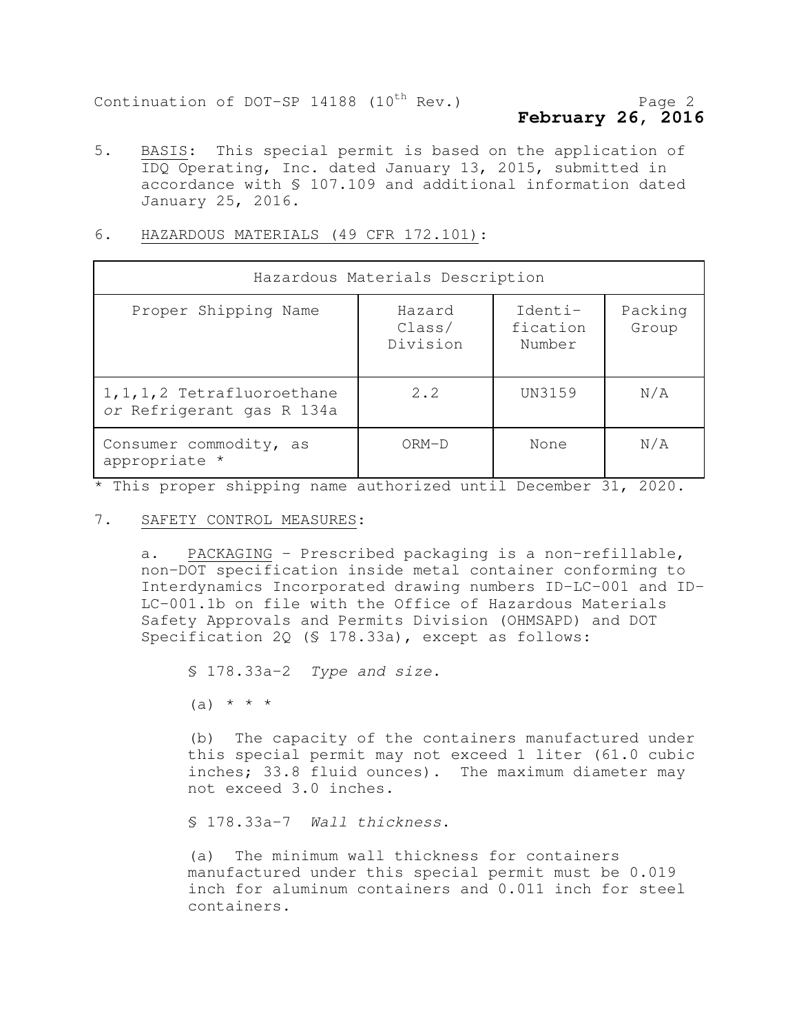# **February 26, 2016**

5. BASIS: This special permit is based on the application of IDQ Operating, Inc. dated January 13, 2015, submitted in accordance with § 107.109 and additional information dated January 25, 2016.

| Hazardous Materials Description                           |                              |                               |                  |
|-----------------------------------------------------------|------------------------------|-------------------------------|------------------|
| Proper Shipping Name                                      | Hazard<br>Class/<br>Division | Identi-<br>fication<br>Number | Packing<br>Group |
| 1, 1, 1, 2 Tetrafluoroethane<br>or Refrigerant gas R 134a | 2.2                          | UN3159                        | N/A              |
| Consumer commodity, as<br>appropriate *                   | $ORM-D$                      | None                          | N/A              |

#### 6. HAZARDOUS MATERIALS (49 CFR 172.101):

\* This proper shipping name authorized until December 31, 2020.

#### 7. SAFETY CONTROL MEASURES:

a. PACKAGING - Prescribed packaging is a non-refillable, non-DOT specification inside metal container conforming to Interdynamics Incorporated drawing numbers ID-LC-001 and ID-LC-001.1b on file with the Office of Hazardous Materials Safety Approvals and Permits Division (OHMSAPD) and DOT Specification 2Q (§ 178.33a), except as follows:

§ 178.33a-2 Type and size.

 $(a) * * * *$ 

(b) The capacity of the containers manufactured under this special permit may not exceed 1 liter (61.0 cubic inches; 33.8 fluid ounces). The maximum diameter may not exceed 3.0 inches.

§ 178.33a-7 Wall thickness.

(a) The minimum wall thickness for containers manufactured under this special permit must be 0.019 inch for aluminum containers and 0.011 inch for steel containers.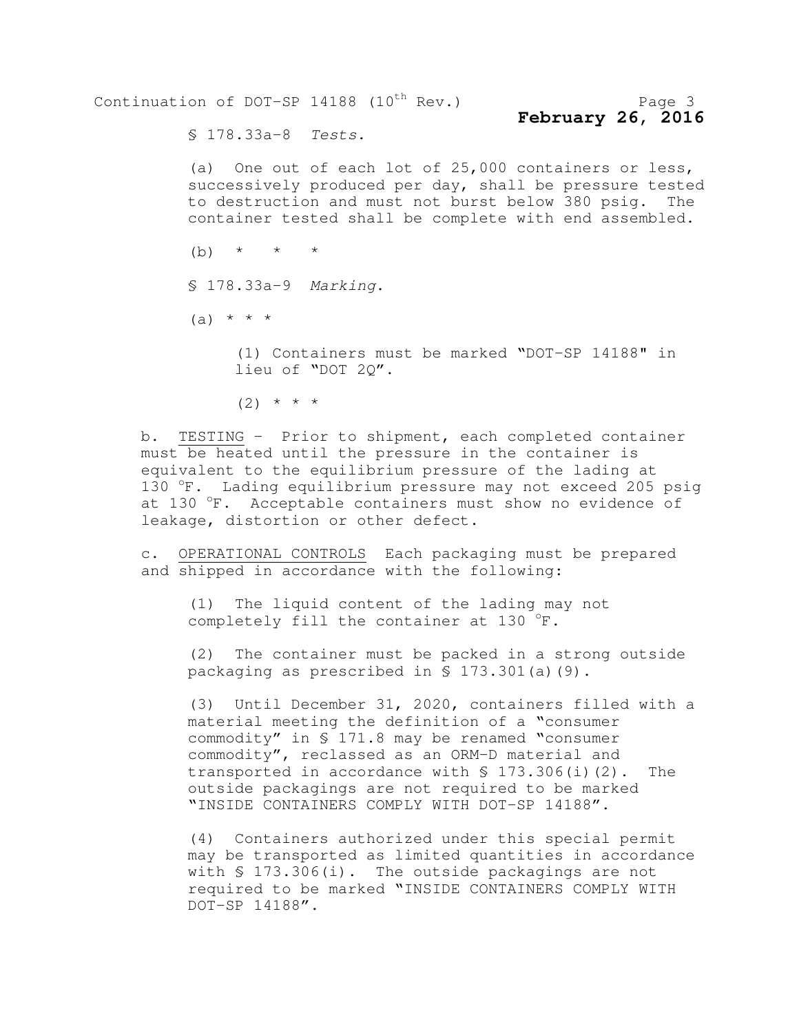Continuation of DOT-SP  $14188$  (10<sup>th</sup> Rev.) Page 3 **February 26, 2016** 

§ 178.33a-8 Tests.

(a) One out of each lot of 25,000 containers or less, successively produced per day, shall be pressure tested to destruction and must not burst below 380 psig. The container tested shall be complete with end assembled.

(b)  $*$   $*$   $*$ 

§ 178.33a-9 Marking.

 $(a) * * * *$ 

(1) Containers must be marked "DOT-SP 14188" in lieu of "DOT 2Q".

 $(2)$  \* \* \*

b. TESTING - Prior to shipment, each completed container must be heated until the pressure in the container is equivalent to the equilibrium pressure of the lading at 130  $\textdegree$ F. Lading equilibrium pressure may not exceed 205 psig at 130  $\mathrm{F}$ . Acceptable containers must show no evidence of leakage, distortion or other defect.

c. OPERATIONAL CONTROLS Each packaging must be prepared and shipped in accordance with the following:

(1) The liquid content of the lading may not completely fill the container at 130  $\mathrm{^{\circ}F}.$ 

(2) The container must be packed in a strong outside packaging as prescribed in § 173.301(a)(9).

(3) Until December 31, 2020, containers filled with a material meeting the definition of a "consumer commodity" in § 171.8 may be renamed "consumer commodity", reclassed as an ORM-D material and transported in accordance with § 173.306(i)(2). The outside packagings are not required to be marked "INSIDE CONTAINERS COMPLY WITH DOT-SP 14188".

(4) Containers authorized under this special permit may be transported as limited quantities in accordance with § 173.306(i). The outside packagings are not required to be marked "INSIDE CONTAINERS COMPLY WITH DOT-SP 14188".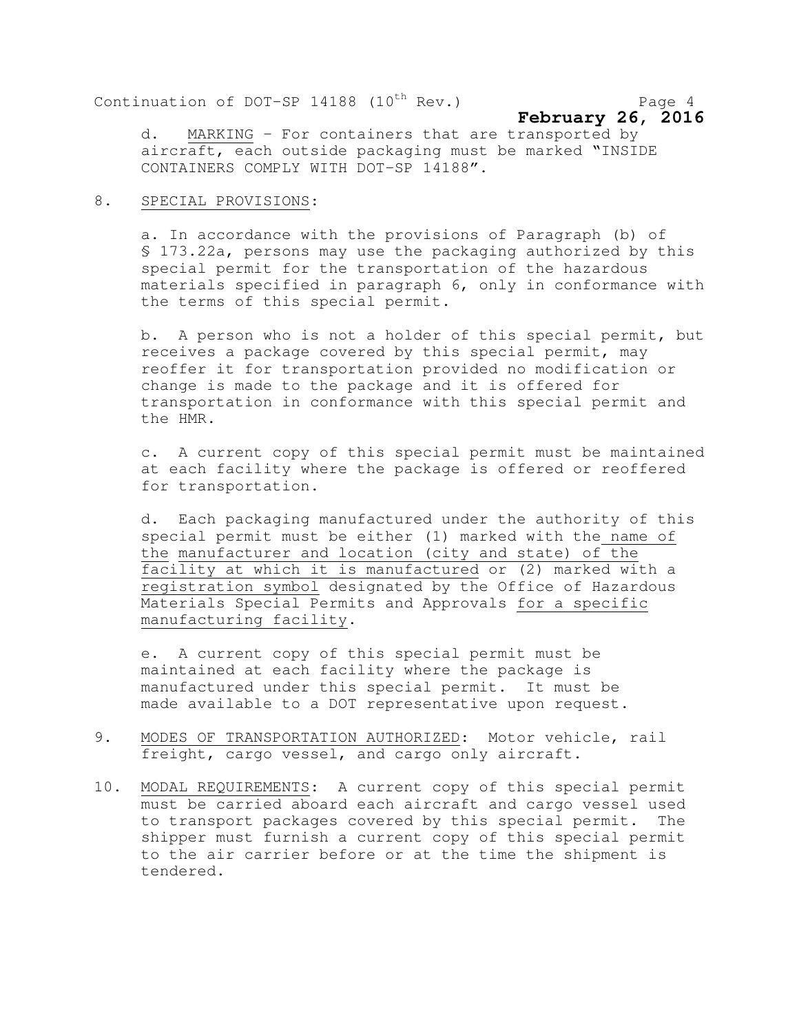Continuation of DOT-SP  $14188$  ( $10^{th}$  Rev.) Page 4

$$
\begin{array}{c}\n\text{February } 26, \text{ 2016}\n\end{array}
$$

d. MARKING - For containers that are transported by aircraft, each outside packaging must be marked "INSIDE CONTAINERS COMPLY WITH DOT-SP 14188".

#### 8. SPECIAL PROVISIONS:

a. In accordance with the provisions of Paragraph (b) of § 173.22a, persons may use the packaging authorized by this special permit for the transportation of the hazardous materials specified in paragraph 6, only in conformance with the terms of this special permit.

b. A person who is not a holder of this special permit, but receives a package covered by this special permit, may reoffer it for transportation provided no modification or change is made to the package and it is offered for transportation in conformance with this special permit and the HMR.

c. A current copy of this special permit must be maintained at each facility where the package is offered or reoffered for transportation.

d. Each packaging manufactured under the authority of this special permit must be either (1) marked with the name of the manufacturer and location (city and state) of the facility at which it is manufactured or (2) marked with a registration symbol designated by the Office of Hazardous Materials Special Permits and Approvals for a specific manufacturing facility.

e. A current copy of this special permit must be maintained at each facility where the package is manufactured under this special permit. It must be made available to a DOT representative upon request.

- 9. MODES OF TRANSPORTATION AUTHORIZED: Motor vehicle, rail freight, cargo vessel, and cargo only aircraft.
- 10. MODAL REQUIREMENTS: A current copy of this special permit must be carried aboard each aircraft and cargo vessel used to transport packages covered by this special permit. The shipper must furnish a current copy of this special permit to the air carrier before or at the time the shipment is tendered.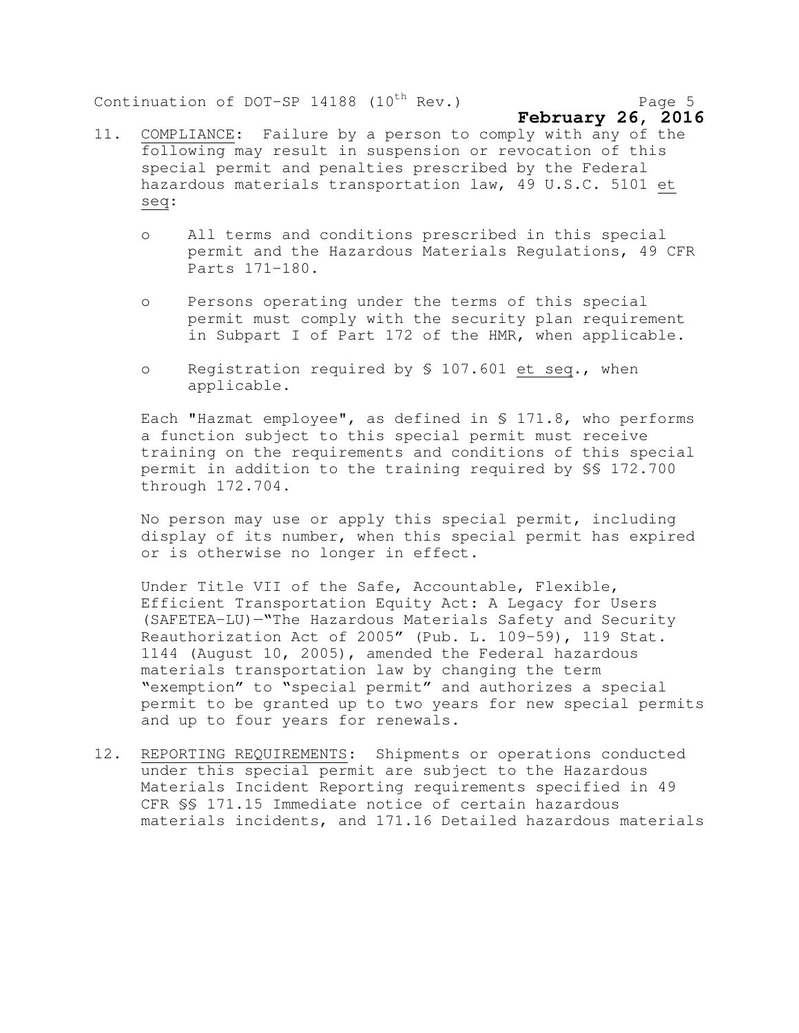Continuation of DOT-SP 14188  $(10^{th}$  Rev.) Page 5

- 11. COMPLIANCE: Failure by a person to comply with any of the following may result in suspension or revocation of this special permit and penalties prescribed by the Federal hazardous materials transportation law, 49 U.S.C. 5101 et seq:
	- o All terms and conditions prescribed in this special permit and the Hazardous Materials Regulations, 49 CFR Parts 171-180.
	- o Persons operating under the terms of this special permit must comply with the security plan requirement in Subpart I of Part 172 of the HMR, when applicable.
	- o Registration required by § 107.601 et seq., when applicable.

Each "Hazmat employee", as defined in § 171.8, who performs a function subject to this special permit must receive training on the requirements and conditions of this special permit in addition to the training required by §§ 172.700 through 172.704.

No person may use or apply this special permit, including display of its number, when this special permit has expired or is otherwise no longer in effect.

Under Title VII of the Safe, Accountable, Flexible, Efficient Transportation Equity Act: A Legacy for Users (SAFETEA-LU)—"The Hazardous Materials Safety and Security Reauthorization Act of 2005" (Pub. L. 109-59), 119 Stat. 1144 (August 10, 2005), amended the Federal hazardous materials transportation law by changing the term "exemption" to "special permit" and authorizes a special permit to be granted up to two years for new special permits and up to four years for renewals.

12. REPORTING REQUIREMENTS: Shipments or operations conducted under this special permit are subject to the Hazardous Materials Incident Reporting requirements specified in 49 CFR §§ 171.15 Immediate notice of certain hazardous materials incidents, and 171.16 Detailed hazardous materials